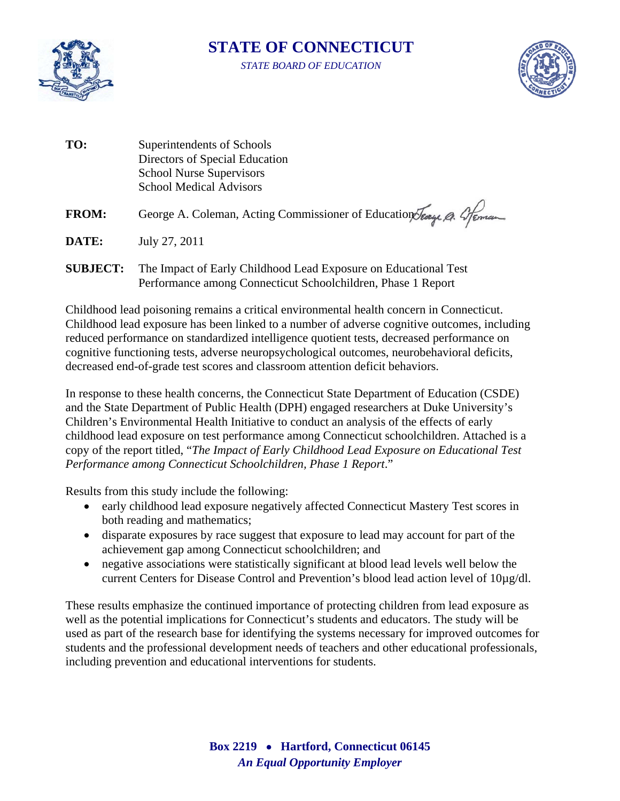

## **STATE OF CONNECTICUT**

*STATE BOARD OF EDUCATION* 



| TO:             | Superintendents of Schools<br>Directors of Special Education<br><b>School Nurse Supervisors</b><br><b>School Medical Advisors</b> |
|-----------------|-----------------------------------------------------------------------------------------------------------------------------------|
| <b>FROM:</b>    | George A. Coleman, Acting Commissioner of Education Jeage A. Greman                                                               |
| DATE:           | July 27, 2011                                                                                                                     |
| <b>SUBJECT:</b> | The Impact of Early Childhood Lead Exposure on Educational Test                                                                   |

Performance among Connecticut Schoolchildren, Phase 1 Report

Childhood lead poisoning remains a critical environmental health concern in Connecticut. Childhood lead exposure has been linked to a number of adverse cognitive outcomes, including reduced performance on standardized intelligence quotient tests, decreased performance on cognitive functioning tests, adverse neuropsychological outcomes, neurobehavioral deficits, decreased end-of-grade test scores and classroom attention deficit behaviors.

In response to these health concerns, the Connecticut State Department of Education (CSDE) and the State Department of Public Health (DPH) engaged researchers at Duke University's Children's Environmental Health Initiative to conduct an analysis of the effects of early childhood lead exposure on test performance among Connecticut schoolchildren. Attached is a copy of the report titled, "*The Impact of Early Childhood Lead Exposure on Educational Test Performance among Connecticut Schoolchildren, Phase 1 Report*."

Results from this study include the following:

- early childhood lead exposure negatively affected Connecticut Mastery Test scores in both reading and mathematics;
- disparate exposures by race suggest that exposure to lead may account for part of the achievement gap among Connecticut schoolchildren; and
- negative associations were statistically significant at blood lead levels well below the current Centers for Disease Control and Prevention's blood lead action level of 10µg/dl.

These results emphasize the continued importance of protecting children from lead exposure as well as the potential implications for Connecticut's students and educators. The study will be used as part of the research base for identifying the systems necessary for improved outcomes for students and the professional development needs of teachers and other educational professionals, including prevention and educational interventions for students.